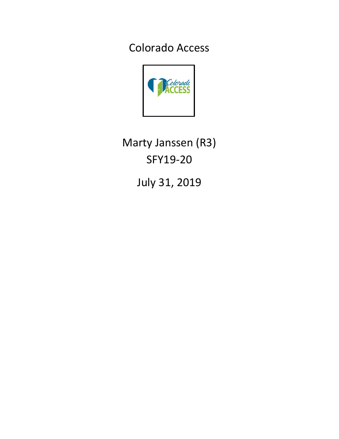Colorado Access



Marty Janssen (R3) SFY19-20

July 31, 2019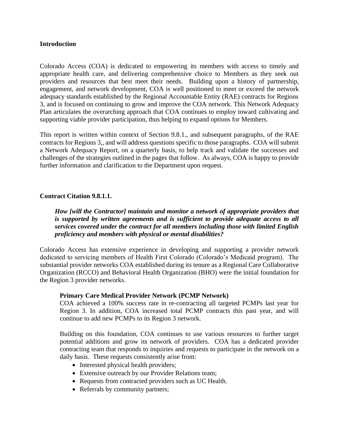### **Introduction**

Colorado Access (COA) is dedicated to empowering its members with access to timely and appropriate health care, and delivering comprehensive choice to Members as they seek out providers and resources that best meet their needs. Building upon a history of partnership, engagement, and network development, COA is well positioned to meet or exceed the network adequacy standards established by the Regional Accountable Entity (RAE) contracts for Regions 3, and is focused on continuing to grow and improve the COA network. This Network Adequacy Plan articulates the overarching approach that COA continues to employ toward cultivating and supporting viable provider participation, thus helping to expand options for Members.

This report is written within context of Section 9.8.1., and subsequent paragraphs, of the RAE contracts for Regions 3,, and will address questions specific to those paragraphs. COA will submit a Network Adequacy Report, on a quarterly basis, to help track and validate the successes and challenges of the strategies outlined in the pages that follow. As always, COA is happy to provide further information and clarification to the Department upon request.

#### **Contract Citation 9.8.1.1.**

*How [will the Contractor] maintain and monitor a network of appropriate providers that is supported by written agreements and is sufficient to provide adequate access to all services covered under the contract for all members including those with limited English proficiency and members with physical or mental disabilities?*

Colorado Access has extensive experience in developing and supporting a provider network dedicated to servicing members of Health First Colorado (Colorado's Medicaid program). The substantial provider networks COA established during its tenure as a Regional Care Collaborative Organization (RCCO) and Behavioral Health Organization (BHO) were the initial foundation for the Region 3 provider networks.

#### **Primary Care Medical Provider Network (PCMP Network)**

COA achieved a 100% success rate in re-contracting all targeted PCMPs last year for Region 3. In addition, COA increased total PCMP contracts this past year, and will continue to add new PCMPs to its Region 3 network.

Building on this foundation, COA continues to use various resources to further target potential additions and grow its network of providers. COA has a dedicated provider contracting team that responds to inquiries and requests to participate in the network on a daily basis. These requests consistently arise from:

- Interested physical health providers;
- Extensive outreach by our Provider Relations team;
- Requests from contracted providers such as UC Health.
- Referrals by community partners;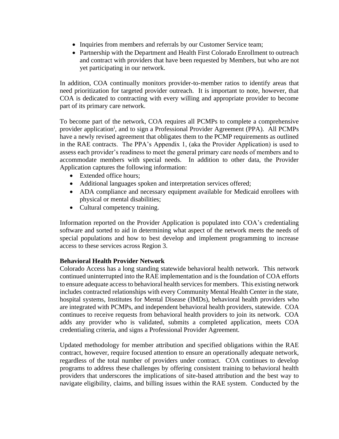- Inquiries from members and referrals by our Customer Service team;
- Partnership with the Department and Health First Colorado Enrollment to outreach and contract with providers that have been requested by Members, but who are not yet participating in our network.

In addition, COA continually monitors provider-to-member ratios to identify areas that need prioritization for targeted provider outreach. It is important to note, however, that COA is dedicated to contracting with every willing and appropriate provider to become part of its primary care network.

To become part of the network, COA requires all PCMPs to complete a comprehensive provider application<sup>i</sup>, and to sign a Professional Provider Agreement (PPA). All PCMPs have a newly revised agreement that obligates them to the PCMP requirements as outlined in the RAE contracts. The PPA's Appendix 1, (aka the Provider Application) is used to assess each provider's readiness to meet the general primary care needs of members and to accommodate members with special needs. In addition to other data, the Provider Application captures the following information:

- Extended office hours:
- Additional languages spoken and interpretation services offered;
- ADA compliance and necessary equipment available for Medicaid enrollees with physical or mental disabilities;
- Cultural competency training.

Information reported on the Provider Application is populated into COA's credentialing software and sorted to aid in determining what aspect of the network meets the needs of special populations and how to best develop and implement programming to increase access to these services across Region 3.

### **Behavioral Health Provider Network**

Colorado Access has a long standing statewide behavioral health network. This network continued uninterrupted into the RAE implementation and is the foundation of COA efforts to ensure adequate access to behavioral health services for members. This existing network includes contracted relationships with every Community Mental Health Center in the state, hospital systems, Institutes for Mental Disease (IMDs), behavioral health providers who are integrated with PCMPs, and independent behavioral health providers, statewide. COA continues to receive requests from behavioral health providers to join its network. COA adds any provider who is validated, submits a completed application, meets COA credentialing criteria, and signs a Professional Provider Agreement.

Updated methodology for member attribution and specified obligations within the RAE contract, however, require focused attention to ensure an operationally adequate network, regardless of the total number of providers under contract. COA continues to develop programs to address these challenges by offering consistent training to behavioral health providers that underscores the implications of site-based attribution and the best way to navigate eligibility, claims, and billing issues within the RAE system. Conducted by the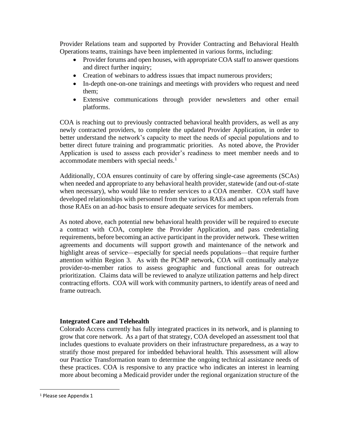Provider Relations team and supported by Provider Contracting and Behavioral Health Operations teams, trainings have been implemented in various forms, including:

- Provider forums and open houses, with appropriate COA staff to answer questions and direct further inquiry;
- Creation of webinars to address issues that impact numerous providers;
- In-depth one-on-one trainings and meetings with providers who request and need them;
- Extensive communications through provider newsletters and other email platforms.

COA is reaching out to previously contracted behavioral health providers, as well as any newly contracted providers, to complete the updated Provider Application, in order to better understand the network's capacity to meet the needs of special populations and to better direct future training and programmatic priorities. As noted above, the Provider Application is used to assess each provider's readiness to meet member needs and to accommodate members with special needs.<sup>1</sup>

Additionally, COA ensures continuity of care by offering single-case agreements (SCAs) when needed and appropriate to any behavioral health provider, statewide (and out-of-state when necessary), who would like to render services to a COA member. COA staff have developed relationships with personnel from the various RAEs and act upon referrals from those RAEs on an ad-hoc basis to ensure adequate services for members.

As noted above, each potential new behavioral health provider will be required to execute a contract with COA, complete the Provider Application, and pass credentialing requirements, before becoming an active participant in the provider network. These written agreements and documents will support growth and maintenance of the network and highlight areas of service—especially for special needs populations—that require further attention within Region 3. As with the PCMP network, COA will continually analyze provider-to-member ratios to assess geographic and functional areas for outreach prioritization. Claims data will be reviewed to analyze utilization patterns and help direct contracting efforts. COA will work with community partners, to identify areas of need and frame outreach.

# **Integrated Care and Telehealth**

Colorado Access currently has fully integrated practices in its network, and is planning to grow that core network. As a part of that strategy, COA developed an assessment tool that includes questions to evaluate providers on their infrastructure preparedness, as a way to stratify those most prepared for imbedded behavioral health. This assessment will allow our Practice Transformation team to determine the ongoing technical assistance needs of these practices. COA is responsive to any practice who indicates an interest in learning more about becoming a Medicaid provider under the regional organization structure of the

<sup>1</sup> Please see Appendix 1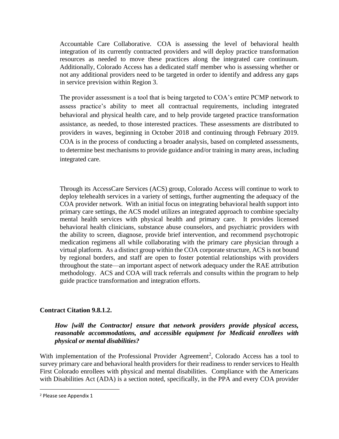Accountable Care Collaborative. COA is assessing the level of behavioral health integration of its currently contracted providers and will deploy practice transformation resources as needed to move these practices along the integrated care continuum. Additionally, Colorado Access has a dedicated staff member who is assessing whether or not any additional providers need to be targeted in order to identify and address any gaps in service prevision within Region 3.

The provider assessment is a tool that is being targeted to COA's entire PCMP network to assess practice's ability to meet all contractual requirements, including integrated behavioral and physical health care, and to help provide targeted practice transformation assistance, as needed, to those interested practices. These assessments are distributed to providers in waves, beginning in October 2018 and continuing through February 2019. COA is in the process of conducting a broader analysis, based on completed assessments, to determine best mechanisms to provide guidance and/or training in many areas, including integrated care.

Through its AccessCare Services (ACS) group, Colorado Access will continue to work to deploy telehealth services in a variety of settings, further augmenting the adequacy of the COA provider network. With an initial focus on integrating behavioral health support into primary care settings, the ACS model utilizes an integrated approach to combine specialty mental health services with physical health and primary care. It provides licensed behavioral health clinicians, substance abuse counselors, and psychiatric providers with the ability to screen, diagnose, provide brief intervention, and recommend psychotropic medication regimens all while collaborating with the primary care physician through a virtual platform. As a distinct group within the COA corporate structure, ACS is not bound by regional borders, and staff are open to foster potential relationships with providers throughout the state—an important aspect of network adequacy under the RAE attribution methodology. ACS and COA will track referrals and consults within the program to help guide practice transformation and integration efforts.

# **Contract Citation 9.8.1.2.**

### *How [will the Contractor] ensure that network providers provide physical access, reasonable accommodations, and accessible equipment for Medicaid enrollees with physical or mental disabilities?*

With implementation of the Professional Provider Agreement<sup>2</sup>, Colorado Access has a tool to survey primary care and behavioral health providers for their readiness to render services to Health First Colorado enrollees with physical and mental disabilities. Compliance with the Americans with Disabilities Act (ADA) is a section noted, specifically, in the PPA and every COA provider

<sup>2</sup> Please see Appendix 1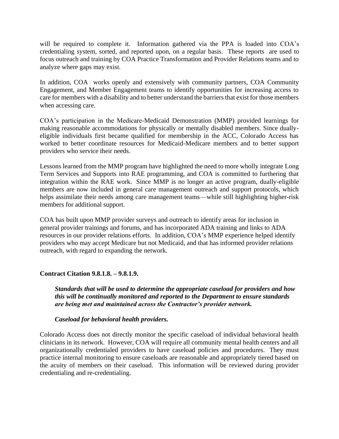will be required to complete it. Information gathered via the PPA is loaded into COA's credentialing system, sorted, and reported upon, on a regular basis. These reports are used to focus outreach and training by COA Practice Transformation and Provider Relations teams and to analyze where gaps may exist.

In addition, COA works openly and extensively with community partners, COA Community Engagement, and Member Engagement teams to identify opportunities for increasing access to care for members with a disability and to better understand the barriers that exist for those members when accessing care.

COA's participation in the Medicare-Medicaid Demonstration (MMP) provided learnings for making reasonable accommodations for physically or mentally disabled members. Since duallyeligible individuals first became qualified for membership in the ACC, Colorado Access has worked to better coordinate resources for Medicaid-Medicare members and to better support providers who service their needs.

Lessons learned from the MMP program have highlighted the need to more wholly integrate Long Term Services and Supports into RAE programming, and COA is committed to furthering that integration within the RAE work. Since MMP is no longer an active program, dually-eligible members are now included in general care management outreach and support protocols, which helps assimilate their needs among care management teams—while still highlighting higher-risk members for additional support.

COA has built upon MMP provider surveys and outreach to identify areas for inclusion in general provider trainings and forums, and has incorporated ADA training and links to ADA resources in our provider relations efforts. In addition, COA's MMP experience helped identify providers who may accept Medicare but not Medicaid, and that has informed provider relations outreach, with regard to expanding the network.

# **Contract Citation 9.8.1.8. – 9.8.1.9.**

*Standards that will be used to determine the appropriate caseload for providers and how this will be continually monitored and reported to the Department to ensure standards are being met and maintained across the Contractor's provider network.*

### *Caseload for behavioral health providers.*

Colorado Access does not directly monitor the specific caseload of individual behavioral health clinicians in its network. However, COA will require all community mental health centers and all organizationally credentialed providers to have caseload policies and procedures. They must practice internal monitoring to ensure caseloads are reasonable and appropriately tiered based on the acuity of members on their caseload. This information will be reviewed during provider credentialing and re-credentialing.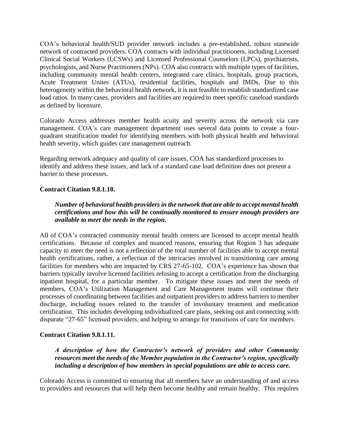COA's behavioral health/SUD provider network includes a pre-established, robust statewide network of contracted providers. COA contracts with individual practitioners, including Licensed Clinical Social Workers (LCSWs) and Licensed Professional Counselors (LPCs), psychiatrists, psychologists, and Nurse Practitioners (NPs). COA also contracts with multiple types of facilities, including community mental health centers, integrated care clinics, hospitals, group practices, Acute Treatment Unites (ATUs), residential facilities, hospitals and IMDs. Due to this heterogeneity within the behavioral health network, it is not feasible to establish standardized case load ratios. In many cases, providers and facilities are required to meet specific caseload standards as defined by licensure.

Colorado Access addresses member health acuity and severity across the network via care management. COA's care management department uses several data points to create a fourquadrant stratification model for identifying members with both physical health and behavioral health severity, which guides care management outreach.

Regarding network adequacy and quality of care issues, COA has standardized processes to identify and address these issues, and lack of a standard case load definition does not present a barrier to these processes.

### **Contract Citation 9.8.1.10.**

*Number of behavioral health providers in the network that are able to accept mental health certifications and how this will be continually monitored to ensure enough providers are available to meet the needs in the region.*

All of COA's contracted community mental health centers are licensed to accept mental health certifications. Because of complex and nuanced reasons, ensuring that Region 3 has adequate capacity to meet the need is not a reflection of the total number of facilities able to accept mental health certifications, rather, a reflection of the intricacies involved in transitioning care among facilities for members who are impacted by CRS 27-65-102. COA's experience has shown that barriers typically involve licensed facilities refusing to accept a certification from the discharging inpatient hospital, for a particular member. To mitigate these issues and meet the needs of members, COA's Utilization Management and Care Management teams will continue their processes of coordinating between facilities and outpatient providers to address barriers to member discharge, including issues related to the transfer of involuntary treatment and medication certification. This includes developing individualized care plans, seeking out and connecting with disparate "27-65" licensed providers, and helping to arrange for transitions of care for members.

### **Contract Citation 9.8.1.11.**

*A description of how the Contractor's network of providers and other Community resources meet the needs of the Member population in the Contractor's region, specifically including a description of how members in special populations are able to access care.*

Colorado Access is committed to ensuring that all members have an understanding of and access to providers and resources that will help them become healthy and remain healthy. This requires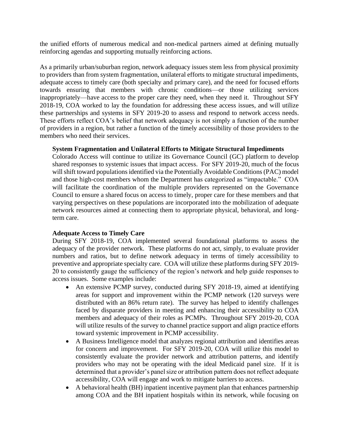the unified efforts of numerous medical and non-medical partners aimed at defining mutually reinforcing agendas and supporting mutually reinforcing actions.

As a primarily urban/suburban region, network adequacy issues stem less from physical proximity to providers than from system fragmentation, unilateral efforts to mitigate structural impediments, adequate access to timely care (both specialty and primary care), and the need for focused efforts towards ensuring that members with chronic conditions—or those utilizing services inappropriately—have access to the proper care they need, when they need it. Throughout SFY 2018-19, COA worked to lay the foundation for addressing these access issues, and will utilize these partnerships and systems in SFY 2019-20 to assess and respond to network access needs. These efforts reflect COA's belief that network adequacy is not simply a function of the number of providers in a region, but rather a function of the timely accessibility of those providers to the members who need their services.

### **System Fragmentation and Unilateral Efforts to Mitigate Structural Impediments**

Colorado Access will continue to utilize its Governance Council (GC) platform to develop shared responses to systemic issues that impact access. For SFY 2019-20, much of the focus will shift toward populations identified via the Potentially Avoidable Conditions (PAC) model and those high-cost members whom the Department has categorized as "impactable." COA will facilitate the coordination of the multiple providers represented on the Governance Council to ensure a shared focus on access to timely, proper care for these members and that varying perspectives on these populations are incorporated into the mobilization of adequate network resources aimed at connecting them to appropriate physical, behavioral, and longterm care.

# **Adequate Access to Timely Care**

During SFY 2018-19, COA implemented several foundational platforms to assess the adequacy of the provider network. These platforms do not act, simply, to evaluate provider numbers and ratios, but to define network adequacy in terms of timely accessibility to preventive and appropriate specialty care. COA will utilize these platforms during SFY 2019- 20 to consistently gauge the sufficiency of the region's network and help guide responses to access issues. Some examples include:

- An extensive PCMP survey, conducted during SFY 2018-19, aimed at identifying areas for support and improvement within the PCMP network (120 surveys were distributed with an 86% return rate). The survey has helped to identify challenges faced by disparate providers in meeting and enhancing their accessibility to COA members and adequacy of their roles as PCMPs. Throughout SFY 2019-20, COA will utilize results of the survey to channel practice support and align practice efforts toward systemic improvement in PCMP accessibility.
- A Business Intelligence model that analyzes regional attribution and identifies areas for concern and improvement. For SFY 2019-20, COA will utilize this model to consistently evaluate the provider network and attribution patterns, and identify providers who may not be operating with the ideal Medicaid panel size. If it is determined that a provider's panel size or attribution pattern does not reflect adequate accessibility, COA will engage and work to mitigate barriers to access.
- A behavioral health (BH) inpatient incentive payment plan that enhances partnership among COA and the BH inpatient hospitals within its network, while focusing on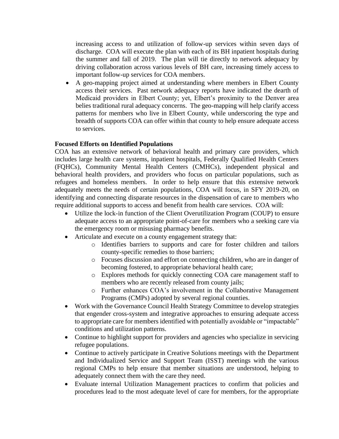increasing access to and utilization of follow-up services within seven days of discharge. COA will execute the plan with each of its BH inpatient hospitals during the summer and fall of 2019. The plan will tie directly to network adequacy by driving collaboration across various levels of BH care, increasing timely access to important follow-up services for COA members.

• A geo-mapping project aimed at understanding where members in Elbert County access their services. Past network adequacy reports have indicated the dearth of Medicaid providers in Elbert County; yet, Elbert's proximity to the Denver area belies traditional rural adequacy concerns. The geo-mapping will help clarify access patterns for members who live in Elbert County, while underscoring the type and breadth of supports COA can offer within that county to help ensure adequate access to services.

### **Focused Efforts on Identified Populations**

COA has an extensive network of behavioral health and primary care providers, which includes large health care systems, inpatient hospitals, Federally Qualified Health Centers (FQHCs), Community Mental Health Centers (CMHCs), independent physical and behavioral health providers, and providers who focus on particular populations, such as refugees and homeless members. In order to help ensure that this extensive network adequately meets the needs of certain populations, COA will focus, in SFY 2019-20, on identifying and connecting disparate resources in the dispensation of care to members who require additional supports to access and benefit from health care services. COA will:

- Utilize the lock-in function of the Client Overutilization Program (COUP) to ensure adequate access to an appropriate point-of-care for members who a seeking care via the emergency room or misusing pharmacy benefits.
- Articulate and execute on a county engagement strategy that:
	- o Identifies barriers to supports and care for foster children and tailors county-specific remedies to those barriers;
	- o Focuses discussion and effort on connecting children, who are in danger of becoming fostered, to appropriate behavioral health care;
	- o Explores methods for quickly connecting COA care management staff to members who are recently released from county jails;
	- o Further enhances COA's involvement in the Collaborative Management Programs (CMPs) adopted by several regional counties.
- Work with the Governance Council Health Strategy Committee to develop strategies that engender cross-system and integrative approaches to ensuring adequate access to appropriate care for members identified with potentially avoidable or "impactable" conditions and utilization patterns.
- Continue to highlight support for providers and agencies who specialize in servicing refugee populations.
- Continue to actively participate in Creative Solutions meetings with the Department and Individualized Service and Support Team (ISST) meetings with the various regional CMPs to help ensure that member situations are understood, helping to adequately connect them with the care they need.
- Evaluate internal Utilization Management practices to confirm that policies and procedures lead to the most adequate level of care for members, for the appropriate